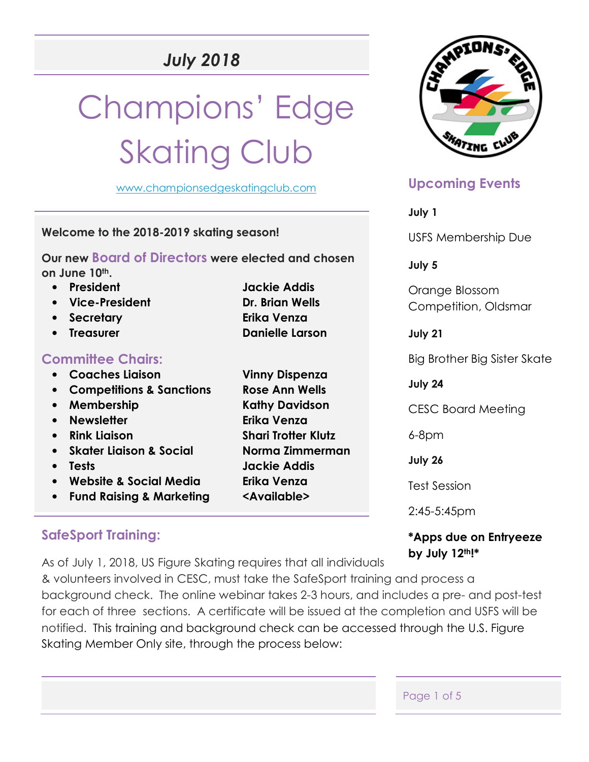# *July 2018*

# Champions' Edge **Skating Club**

www.championsedgeskatingclub.com

**Welcome to the 2018-2019 skating season!** 

**Our new Board of Directors were elected and chosen on June 10th.** 

• **President Jackie Addis** 

• **Vice-President Dr. Brian Wells**  • **Secretary Erika Venza**  • **Treasurer Danielle Larson Committee Chairs:**  • **Coaches Liaison Vinny Dispenza**  • **Competitions & Sanctions Rose Ann Wells**  • Membership **Kathy Davidson** • **Newsletter Erika Venza**  • **Rink Liaison Shari Trotter Klutz**  • **Skater Liaison & Social Norma Zimmerman**  • **Tests Jackie Addis**  • **Website & Social Media Erika Venza**  • **Fund Raising & Marketing <Available>** 

## **SafeSport Training:**

As of July 1, 2018, US Figure Skating requires that all individuals

& volunteers involved in CESC, must take the SafeSport training and process a background check. The online webinar takes 2-3 hours, and includes a pre- and post-test for each of three sections. A certificate will be issued at the completion and USFS will be notified. This training and background check can be accessed through the U.S. Figure Skating Member Only site, through the process below:

## **Upcoming Events**

**July 1** 

USFS Membership Due

**July 5** 

Orange Blossom Competition, Oldsmar

**July 21** 

Big Brother Big Sister Skate

**July 24** 

CESC Board Meeting

6-8pm

**July 26** 

Test Session

2:45-5:45pm

## **\*Apps due on Entryeeze by July 12th!\***

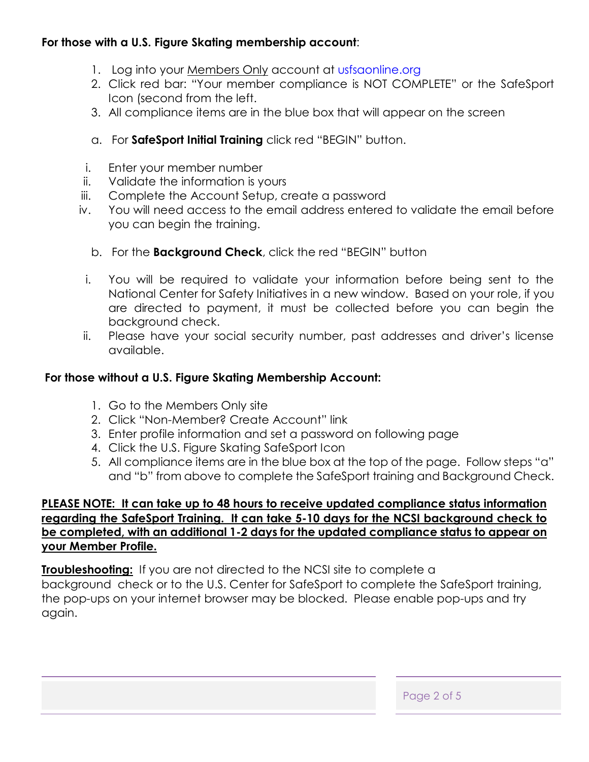## **For those with a U.S. Figure Skating membership account**:

- 1. Log into your Members Only account at usfsaonline.org
- 2. Click red bar: "Your member compliance is NOT COMPLETE" or the SafeSport Icon (second from the left.
- 3. All compliance items are in the blue box that will appear on the screen
- a. For **SafeSport Initial Training** click red "BEGIN" button.
- i. Enter your member number
- ii. Validate the information is yours
- iii. Complete the Account Setup, create a password
- iv. You will need access to the email address entered to validate the email before you can begin the training.
	- b. For the **Background Check**, click the red "BEGIN" button
- i. You will be required to validate your information before being sent to the National Center for Safety Initiatives in a new window. Based on your role, if you are directed to payment, it must be collected before you can begin the background check.
- ii. Please have your social security number, past addresses and driver's license available.

### **For those without a U.S. Figure Skating Membership Account:**

- 1. Go to the Members Only site
- 2. Click "Non-Member? Create Account" link
- 3. Enter profile information and set a password on following page
- 4. Click the U.S. Figure Skating SafeSport Icon
- 5. All compliance items are in the blue box at the top of the page. Follow steps "a" and "b" from above to complete the SafeSport training and Background Check.

#### **PLEASE NOTE: It can take up to 48 hours to receive updated compliance status information regarding the SafeSport Training. It can take 5-10 days for the NCSI background check to be completed, with an additional 1-2 days for the updated compliance status to appear on your Member Profile.**

**Troubleshooting:** If you are not directed to the NCSI site to complete a background check or to the U.S. Center for SafeSport to complete the SafeSport training, the pop-ups on your internet browser may be blocked. Please enable pop-ups and try again.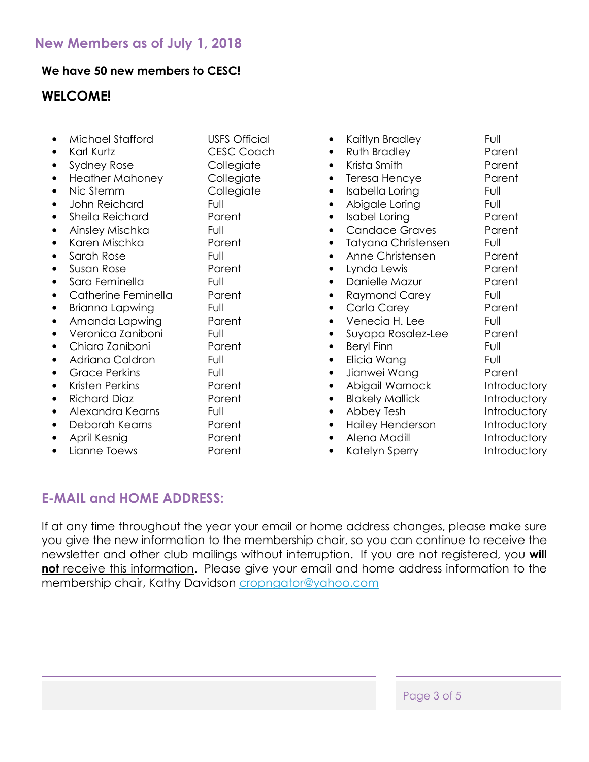#### **We have 50 new members to CESC!**

## **WELCOME!**

| Michael Stafford       | <b>USFS Official</b> |
|------------------------|----------------------|
| Karl Kurtz             | <b>CESC Coach</b>    |
| Sydney Rose            | Collegiate           |
| <b>Heather Mahoney</b> | Collegiate           |
| Nic Stemm              | Collegiate           |
| John Reichard          | Full                 |
| Sheila Reichard        | Parent               |
| Ainsley Mischka        | Full                 |
| Karen Mischka          | Parent               |
| Sarah Rose             | Full                 |
| Susan Rose             | Parent               |
| Sara Feminella         | Full                 |
| Catherine Feminella    | Parent               |
| Brianna Lapwing        | Full                 |
| Amanda Lapwing         | Parent               |
| Veronica Zaniboni      | Full                 |
| Chiara Zaniboni        | Parent               |
| Adriana Caldron        | Full                 |
| Grace Perkins          | Full                 |
| Kristen Perkins        | Parent               |
| Richard Diaz           | Parent               |
| Alexandra Kearns       | Full                 |
| Deborah Kearns         | Parent               |
| April Kesnig           | Parent               |
| Lianne Toews           | Parent               |

• Kaitlyn Bradley Full **Ruth Bradley Concrete Parent** • Krista Smith Parent • Teresa Hencye Parent Isabella Loring **Full** Abigale Loring Full Isabel Loring Parent • Candace Graves Parent • Tatyana Christensen Full Anne Christensen en Parent • Lynda Lewis Parent **Danielle Mazur Parent** Raymond Carey Full • Carla Carey Parent • Venecia H. Lee Full • Suyapa Rosalez-Lee Parent • Beryl Finn Full • Elicia Wang Full • Jianwei Wana **Parent** Abigail Warnock Introductory **Blakely Mallick Controductory** • Abbey Tesh Introductory • Hailey Henderson Introductory Alena Madill **Introductory** Katelyn Sperry **Introductory** 

## **E-MAIL and HOME ADDRESS:**

If at any time throughout the year your email or home address changes, please make sure you give the new information to the membership chair, so you can continue to receive the newsletter and other club mailings without interruption. If you are not registered, you **will not** receive this information. Please give your email and home address information to the membership chair, Kathy Davidson cropngator@yahoo.com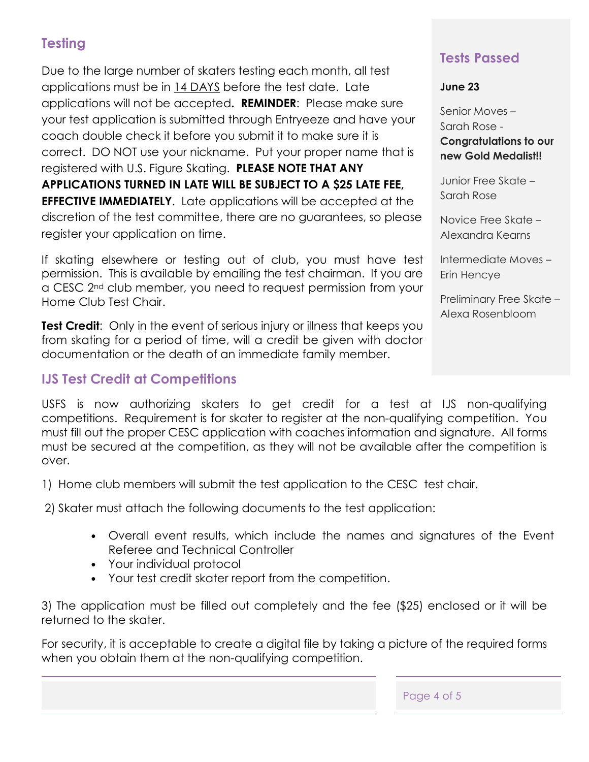## **Testing**

Due to the large number of skaters testing each month, all test applications must be in 14 DAYS before the test date. Late applications will not be accepted**. REMINDER**: Please make sure your test application is submitted through Entryeeze and have your coach double check it before you submit it to make sure it is correct. DO NOT use your nickname. Put your proper name that is registered with U.S. Figure Skating. **PLEASE NOTE THAT ANY APPLICATIONS TURNED IN LATE WILL BE SUBJECT TO A \$25 LATE FEE, EFFECTIVE IMMEDIATELY**. Late applications will be accepted at the discretion of the test committee, there are no guarantees, so please register your application on time.

If skating elsewhere or testing out of club, you must have test permission. This is available by emailing the test chairman. If you are a CESC 2<sup>nd</sup> club member, you need to request permission from your Home Club Test Chair.

**Test Credit**: Only in the event of serious injury or illness that keeps you from skating for a period of time, will a credit be given with doctor documentation or the death of an immediate family member.

## **IJS Test Credit at Competitions**

## **Tests Passed**

**June 23** 

Senior Moves – Sarah Rose -

**Congratulations to our new Gold Medalist!!** 

Junior Free Skate – Sarah Rose

Novice Free Skate – Alexandra Kearns

Intermediate Moves – Erin Hencye

Preliminary Free Skate – Alexa Rosenbloom

USFS is now authorizing skaters to get credit for a test at IJS non-qualifying competitions. Requirement is for skater to register at the non-qualifying competition. You must fill out the proper CESC application with coaches information and signature. All forms must be secured at the competition, as they will not be available after the competition is over.

1) Home club members will submit the test application to the CESC test chair.

2) Skater must attach the following documents to the test application:

- Overall event results, which include the names and signatures of the Event Referee and Technical Controller
- Your individual protocol
- Your test credit skater report from the competition.

3) The application must be filled out completely and the fee (\$25) enclosed or it will be returned to the skater.

For security, it is acceptable to create a digital file by taking a picture of the required forms when you obtain them at the non-qualifying competition.

Page 4 of 5